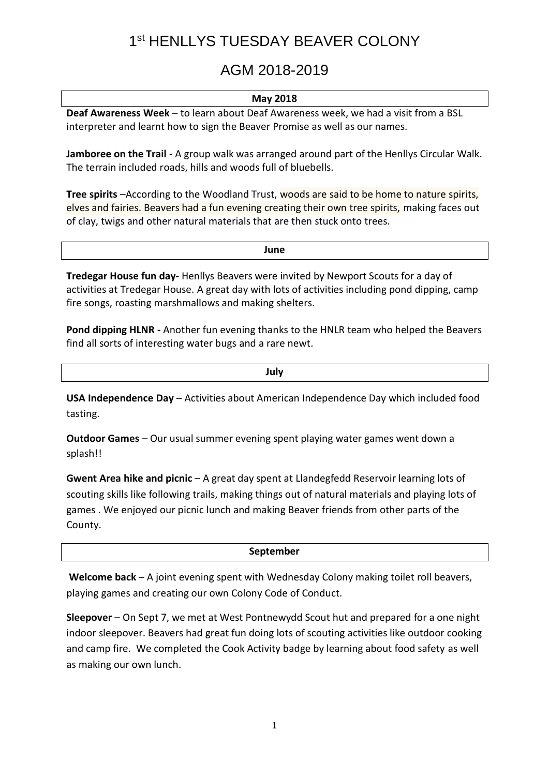# 1st HENLLYS TUESDAY BEAVER COLONY

### AGM 2018-2019

### **May 2018**

**Deaf Awareness Week** – to learn about Deaf Awareness week, we had a visit from a BSL interpreter and learnt how to sign the Beaver Promise as well as our names.

**Jamboree on the Trail** - A group walk was arranged around part of the Henllys Circular Walk. The terrain included roads, hills and woods full of bluebells.

**Tree spirits** –According to the Woodland Trust, woods are said to be home to nature spirits, elves and fairies. Beavers had a fun evening creating their own tree spirits, making faces out of clay, twigs and other natural materials that are then stuck onto trees.

**June Tredegar House fun day-** Henllys Beavers were invited by Newport Scouts for a day of

activities at Tredegar House. A great day with lots of activities including pond dipping, camp fire songs, roasting marshmallows and making shelters.

**Pond dipping HLNR -** Another fun evening thanks to the HNLR team who helped the Beavers find all sorts of interesting water bugs and a rare newt.

**July**

**USA Independence Day** – Activities about American Independence Day which included food tasting.

**Outdoor Games** – Our usual summer evening spent playing water games went down a splash!!

**Gwent Area hike and picnic** – A great day spent at Llandegfedd Reservoir learning lots of scouting skills like following trails, making things out of natural materials and playing lots of games . We enjoyed our picnic lunch and making Beaver friends from other parts of the County.

### **September**

**Welcome back** – A joint evening spent with Wednesday Colony making toilet roll beavers, playing games and creating our own Colony Code of Conduct.

**Sleepover** – On Sept 7, we met at West Pontnewydd Scout hut and prepared for a one night indoor sleepover. Beavers had great fun doing lots of scouting activities like outdoor cooking and camp fire. We completed the Cook Activity badge by learning about food safety as well as making our own lunch.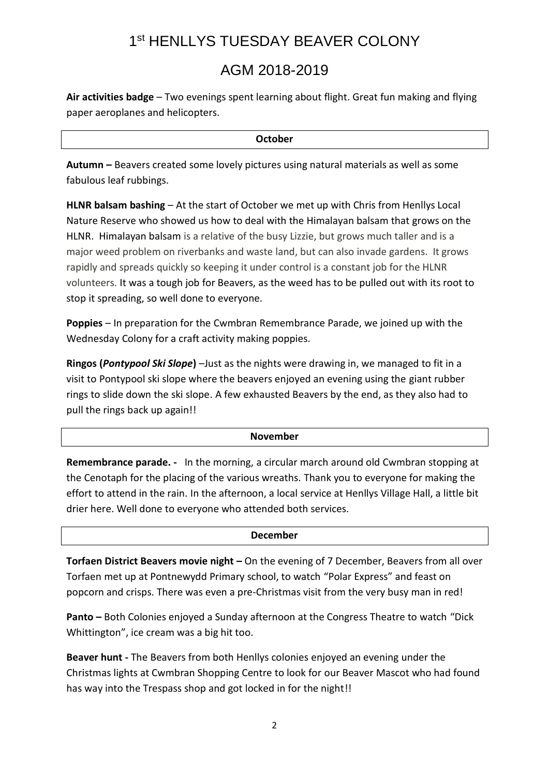## 1st HENLLYS TUESDAY BEAVER COLONY

### AGM 2018-2019

**Air activities badge** – Two evenings spent learning about flight. Great fun making and flying paper aeroplanes and helicopters.

**October**

**Autumn –** Beavers created some lovely pictures using natural materials as well as some fabulous leaf rubbings.

**HLNR balsam bashing** – At the start of October we met up with Chris from Henllys Local Nature Reserve who showed us how to deal with the Himalayan balsam that grows on the HLNR. Himalayan balsam is a relative of the busy Lizzie, but grows much taller and is a major weed problem on riverbanks and waste land, but can also invade gardens. It grows rapidly and spreads quickly so keeping it under control is a constant job for the HLNR volunteers. It was a tough job for Beavers, as the weed has to be pulled out with its root to stop it spreading, so well done to everyone.

**Poppies** – In preparation for the Cwmbran Remembrance Parade, we joined up with the Wednesday Colony for a craft activity making poppies.

**Ringos (***Pontypool Ski Slope***)** –Just as the nights were drawing in, we managed to fit in a visit to Pontypool ski slope where the beavers enjoyed an evening using the giant rubber rings to slide down the ski slope. A few exhausted Beavers by the end, as they also had to pull the rings back up again!!

### **November**

**Remembrance parade. -** In the morning, a circular march around old Cwmbran stopping at the Cenotaph for the placing of the various wreaths. Thank you to everyone for making the effort to attend in the rain. In the afternoon, a local service at Henllys Village Hall, a little bit drier here. Well done to everyone who attended both services.

### **December**

**Torfaen District Beavers movie night –** On the evening of 7 December, Beavers from all over Torfaen met up at Pontnewydd Primary school, to watch "Polar Express" and feast on popcorn and crisps. There was even a pre-Christmas visit from the very busy man in red!

**Panto –** Both Colonies enjoyed a Sunday afternoon at the Congress Theatre to watch "Dick Whittington", ice cream was a big hit too.

**Beaver hunt -** The Beavers from both Henllys colonies enjoyed an evening under the Christmas lights at Cwmbran Shopping Centre to look for our Beaver Mascot who had found has way into the Trespass shop and got locked in for the night!!